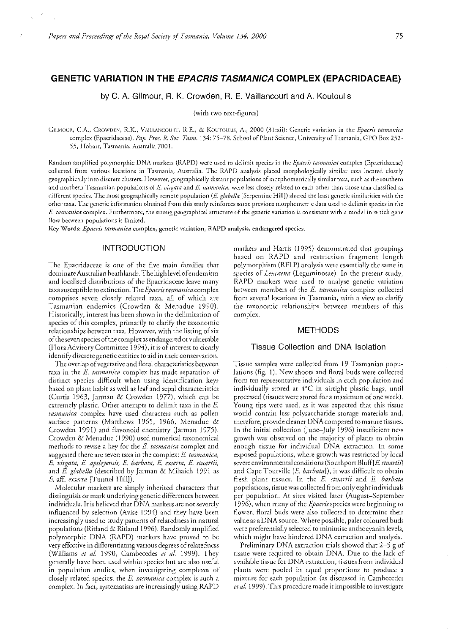# GENETIC VARIATION IN THE EPACRIS TASMANICA COMPLEX (EPACRIDACEAE)

by C. A. Gilmour, R. K. Crowden, R. E. Vaillancourt and A. Koutoulis

(with two text-figures)

GILMOUR, C.A., CROWDEN, R.K., VAILLANCOURT, R.E., & KOUTOULIS, A., 2000 (31:xii): Genetic variation in the *Epacris tasmanica* complex (Epacridaceae). *Pap. Proc. R. Soc. Tasm.* 134: 75-78. School of Plant Science, University of Tasmania, GPO Box 252- 55, Hobart, Tasmania, Australia 7001.

Random amplified polymorphic DNA markers (RAPD) were used to delimit species in the *Epacris tasmanica* complex (Epacridaceae) collected from various locations in Tasmania, Australia. The RAPD analysis placed morphologically similar taxa located closely geographically into discrete dusters. However, geographically distant populations of morphometrically similar taxa, such as rhe southern and northern Tasmanian populations of E. virgata and E. tasmanica, were less closely related to each other than those taxa classified as different species. The most geographically remote population (E *glabella* [Serpentine Hill]) shared the least genetic similarities with rhe other taxa. The genetic information obrained from this study reinforces some previous morphometric dam used to delimit species in the E. tasmanica complex. Furthermore, the strong geographical structure of the genetic variation is consistent with a model in which gene flow between populations is limited.

Key Words: *Epacris tasmanica* complex, genetic variation, RAPD analysis, endangered species.

# INTRODUCTION

The Epacridaccae is one of the five main families that dominate Australian heathlands. The high level of endemism and localised distributions of the Epacridaceae leave many taxa susceptible to extinction. The *Epacris tasmanicacomplex*  comprises seven closely related taxa, all of which are Tasmanian endemics (Crowden & Menaduc 1990). Historically, interest has been shown in the delimitation of species of this complex, primarily to clarify the taxonomic relationships between taxa. However, with the listing of six of the seven species of the complex as endangered orvulnerablc (Flora Advisory Committee 1994), it is of interest to dearly identify discrete genetic entities to aid in their conservation.

The overlap of vegetative and floral characteristics between taxa in the *E tasmanica* complex has made separation of distinct species difficult when using identification keys based on plant habit as well as leaf and sepal characteristics (Curtis 1963, Jarman & Crowden 1977), which can be extremely plastic. Other attempts to delimit taxa in the *E. tasrnanica* complex have used characters such as pollen surface patterns (Matthews 1965, 1966, Menadue & Crowden 1991) and flavonoid chemistry Qarman 1975). Crowden & Menadue (1990) used numerical taxonomical methods to revise a key for the *E. tasmanica* complex and suggested there are seven taxa in the complex: *E. tasmanica*, *E. virgata, E. apsleyensis, E. barbata, E. exserta, E. stuartii,*  and *E glabella* (described by Jarman & Mihaich 1991 as *E* aff. *exserta* [Tunnel Hill]).

Molecular markers are simply inherited characters that disringuish or mark underlying genetic differences between individuals. It is believed that DNA markers are not severely influenced by selection (Avisc 1994) and they have been increasingly used to study patterns of relatedness in natural populations (Rirland & Rirland 1996). Randomly amplified polymorphic DNA (RAPD) markers have proved to be very effective in differentiating various degrees of relatedness (Williams *et al.* 1990, Cambecedes *et al.* 1999). They generally have been used within species but are also useful in population studies, when investigating complexes of closely related species; the *E. tasmanica* complex is such a complex. In fact, systematists are increasingly using RAPD

markers and Harris (1995) demonstrated that groupings based on RAPD and restriction fragment length polymorphism (RFLP) analysis were essentially the same in species of *Leucaena* (Leguminosae). In the present study, RAPD markers were used to analyse genetic variation between members of the *E. tasmanica* complex collected from several locations in Tasmania, with a view to clarify the taxonomic relationships between members of this complex.

## **METHODS**

#### Tissue Collection and DNA Isolation

Tissue samples were collected from 19 Tasmanian populations (fig. 1). New shoots and floral buds were collected from ten representative individuals in each population and individually stored at 4°C in airtight plasric bags, until processed (tissues were stored for a maximum of one week). Young tips were used, as it was expected that this tissue would contain less polysaccharide storage materials and, therefore, provide cleaner DNA compared to mature tissues. In the initial collection (June-July 1996) insufficient new growth was observed on the majority of plants to obtain enough tissue for individual DNA extraction. In some exposed populations, where growth was restricted by local severe environmental conditions (Southport Bluff[E. stuartii] and Cape Tourville [E. barbata]), it was difficult to obtain fresh plant tissues. In the E. stuartii and E. barbata populations, tissue was collected from only eight individuals per population. At sites visited later (August-September 1996), when many of the *Epacris* species were beginning to flower, floral buds were also collected to determine their val ue as a DNA source. Where possible, paler coloured buds were preferentially selected to minimise anrhocyanin levels, which might have hindered DNA extraction and analysis.

Preliminary DNA extraction trials showed that 2-5 g of tissue were required to obtain DNA. Due to the lack of available tissue for DNA extraction, tissues from individual plants were pooled in equal proportions to produce a mixcure for each population (as discussed in Cambecedes *et al.* 1999). This procedure made it impossible to investigate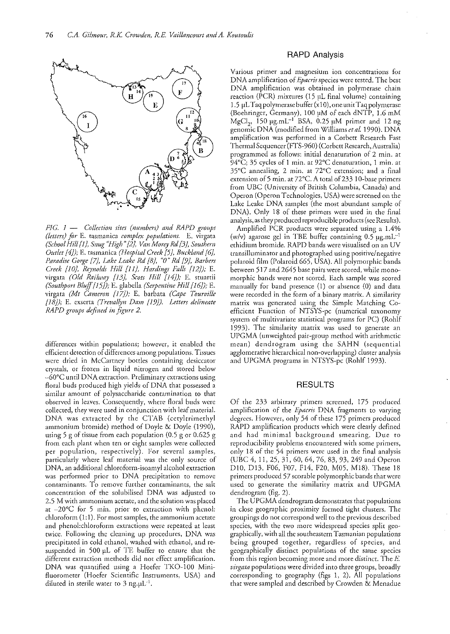

*PIG. 1* - *Collection sites (numbers) and IIAPD groups (letters) for* E. tasmanica *complex populations.* E. virgata *(School Hill/l), Snug "High" [2j, Van Morey lid* [3}, *Southern Outlet* [4}); E. tasmanica *(Hospital Creek* [5), *Buckland /6/, Pmwdise Gorge* [7}, *Lake Leake Rd IS}, "0" Rd* [9}, *Barbers Creel, [1O}, Reynolds Hill ill}, Hardings Falls [I2});* E. virgata *(Old Railway [I3), Scots Hill {J4});* E. stuartii *(.'iouthport Blujl/I5]);* E. glabella *(Serpentine Hill (16/);* E. virgata *(Mt Cameron /17]);* E. barbata *(Cape Tourville [18]);* E. exserta *(Trevallyn Dam /19]). Letters delineate RAPD groups dejined in jigure 2.* 

differences within populations; however, it enabled the efficienr detection of differences among populations. Tissues were dried in McCartney bottles containing desiccator crystals, or frozen in liquid nitrogen and stored below  $-60^{\circ}$ C until DNA extraction, Preliminary extractions using floral buds produced high yields of DNA that possessed a similar amount of polysaccharide contamination to that observed in leaves, Consequently, where floral buds were collected, they were used in conjunction with leaf material. DNA was extracted by the CTAB (cetyltrimethyl ammonium bromide) method of Doyle & Doyle (1990), using 5 g of tissue from each population (0.5 g or 0,625 g from each plant when ten or eight samples were collected per population, respectively), For several samples, particularly where leaf material was the only source of DNA, an additional chloroform-isoamyl alcohol extraction was performed prior to DNA precipitation to remove contaminants, To remove further contaminants, the salt concentration of the solubilised DNA was adjusted to 2,5 M with ammonium acerate, and the solution was placed at  $-20^{\circ}$ C for 5 min. prior to extraction with phenol: chloroform (1: 1), For most samples, the ammonium acetate and phenol:chlorofonn extractions were repeated at least twice, Following the cleaning up procedures, DNA was precipitated in cold ethanol, washed with ethanol, and resuspended in 500 pL of TE buffer to ensure that the different extraction methods did not effect amplification. DNA was quantified using a Hoefer TKO-100 Minifluorometer (Hoefer Scientific Instruments, USA) and diluted in sterile water to 3 ng.pl.<sup>1</sup>.

## RAPD Analysis

Various primer and magnesium ion concentrations for DNA amplification of *E'pacris* species were tested, The best DNA amplification was obtained in polymerase chain reaction (PCR) mixtures (15 µL final volume) containing 1,5 pL Taq polymerase buffer (xl0),oneunitTaq polymerase (Boehringer, Germany), 100 pM of each dNTP, 1.6 mM MgCl<sub>2</sub>, 150  $\mu$ g.mL<sup>-1</sup> BSA, 0.25  $\mu$ M primer and 12 ng genomic DNA (modified from Williams *etal.* 1990). DNA amplification was performed in a Corbett Research Fast Thermal Sequencer (FTS-960) (Corbett Research,Australia) programmed as follows: initial denaturation of 2 min, at 94°C; 35 cycles of 1 min. at 92°C denaturation, 1 min. at 35°C annealing, 2 min. at 72°C extension; and a final extension of 5 min. at  $72^{\circ}$ C. A total of 233 10-base primers from UBC (University of British Columbia, Canada) and Operon (Operon Technologies, USA) were screened on the Lake Leake DNA samples (the most abundant sample of DNA). Only 18 of these primers were used in the final analysis, as they produced reproducible products (see Results),

Amplified PCR products were separated using a 1.4% (w/v) agarose gel in TBE buffer containing  $0.5 \text{ µg.mL}^{-1}$ ethidium bromide. RAPD bands were visualised on an UV transilluminator and photographed using positive/negative polaroid film (Polaroid 665, USA). All polymorphic bands between 517 and 2645 base pairs were scored, while monomorphic bands were not scored, Each sample was scored manually for band presence (1) or absence (0) and data were recorded in the form of a binary matrix. A similarity matrix was generated using the Simple Matching Coefficient Function of NTSYS-pc (numerical taxonomy system of multivariate statistical programs for PC) (Rohlf 1993). The similarity matrix was used to generate an UPGMA (unwcighted pair-group method with arithmetic mean) dendrogram using the SAHN (sequential agglomerative hierarchical non-overlapping) cluster analysis and UPGMA programs in NTSYS-pc (Rohlf 1993).

## RESULTS

Of the 233 arbitrary primers screened, 175 produced amplification of the *Epacris* DNA fragments to varying degrees. However, only 54 of these 175 primers produced RAPD amplification products which were clearly defined and had minimal background smearing, Due to reproducibility problems encountered with some primers, only 18 of the 54 primers were used in the final analysis (UBC 4, 11, 25, 31, 60, 64, 76, 83, 93, 249 and Operon D10, D13, F06, F07, F14, F20, M05, M18). These 18 primers produced 57 scorable polymorphic bands that were used to generate the similarity matrix and UPGMA dendrogram (fig. 2).

The UPGMA dendrogram demonstrates that populations in close geographic proximity formed tight clusters. The groupings do not correspond well to the previous described species, with the two more widespread species split geographically, with all the southeastern Tasmanian populations being grouped together, regardless of species, and geographically distinct populations of the same species from this region becoming more and more distinct. The *E virgata* populations were divided into three groups, broadly corresponding to geography (figs 1, 2), All populations that were sampled and described by Crowden & Menadue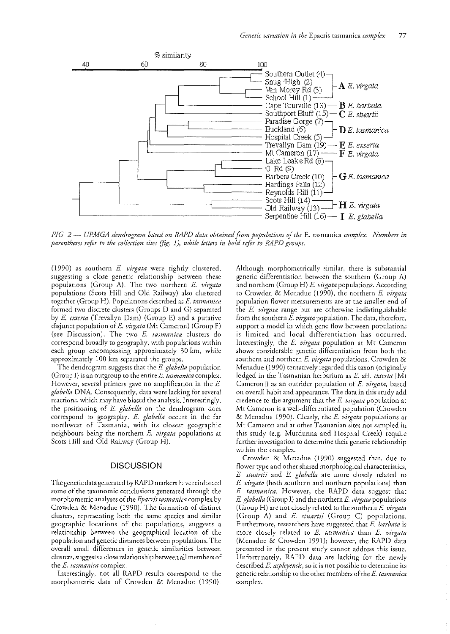

FIG. 2 — UPMGA dendrogram based on RAPD data obtained from populations of the E. tasmanica complex. Numbers in parentheses refer to the collection sites (fig. 1), while letters in bold refer to RAPD groups.

(1990) as southern E. virgata were tightly clustered, suggesting a close genetic relationship between these populations (Group A). The two northern E. virgata populations (Scots Hill and Old Railway) also clustered together (Group H). Populations described as E. tasmanica formed two discrete clusters (Groups D and G) separated by E. exserta (Trevallyn Dam) (Group E) and a putative disjunct population of E. virgata (Mt Cameron) (Group F) (see Discussion). The two E. tasmanica clusters do correspond broadly to geography, with populations within each group encompassing approximately 30 km, while approximately 100 km separated the groups.

The dendrogram suggests that the E. glabella population (Group I) is an outgroup to the entire  $E$ . tasmanica complex. However, several primers gave no amplification in the  $E$ . glabella DNA. Consequently, data were lacking for several reactions, which may have biased the analysis. Interestingly, the positioning of E. glabella on the dendrogram does correspond to geography. E. glabella occurs in the far northwest of Tasmania, with its closest geographic neighbours being the northern E. virgata populations at Scots Hill and Old Railway (Group H).

## **DISCUSSION**

The genetic data generated by RAPD markers have reinforced some of the taxonomic conclusions generated through the morphometric analyses of the Epacris tasmanica complex by Crowden & Menadue (1990). The formation of distinct clusters, representing both the same species and similar geographic locations of the populations, suggests a relationship between the geographical location of the population and genetic distances between populations. The overall small differences in genetic similarities between clusters, suggests a close relationship between all members of the E. tasmanica complex.

Interestingly, not all RAPD results correspond to the morphometric data of Crowden & Menadue (1990). Although morphometrically similar, there is substantial genetic differentiation between the southern (Group A) and northern (Group H) E. virgata populations. According to Crowden & Menadue (1990), the northern E. virgata population flower measurements are at the smaller end of the E. virgata range but are otherwise indistinguishable from the southern E. virgata population. The data, therefore, support a model in which gene flow between populations is limited and local differentiation has occurred. Interestingly, the E. virgata population at Mt Cameron shows considerable genetic differentiation from both the southern and northern E. virgata populations. Crowden & Menadue (1990) tentatively regarded this taxon (originally lodged in the Tasmanian herbarium as E. aff. exserta [Mt Cameron]) as an outrider population of E. virgata, based on overall habit and appearance. The data in this study add credence to the argument that the E. virgata population at Mt Cameron is a well-differentiated population (Crowden & Menadue 1990). Clearly, the E. virgata populations at Mt Cameron and at other Tasmanian sites not sampled in this study (e.g. Murdunna and Hospital Creek) require further investigation to determine their genetic relationship within the complex.

Crowden & Menadue (1990) suggested that, due to flower type and other shared morphological characteristics, E. stuartii and E. glabella are more closely related to *E. virgata* (both southern and northern populations) than E. tasmanica. However, the RAPD data suggest that E. glabella (Group I) and the northern E. virgata populations (Group H) are not closely related to the southern E. virgata (Group A) and E. stuartii (Group C) populations. Furthermore, researchers have suggested that E. barbata is more closely related to E. tasmanica than E. virgata (Menadue & Crowden 1991); however, the RAPD data presented in the present study cannot address this issue. Unfortunately, RAPD data are lacking for the newly described E. aspleyensis, so it is not possible to determine its genetic relationship to the other members of the E. tasmanica complex.